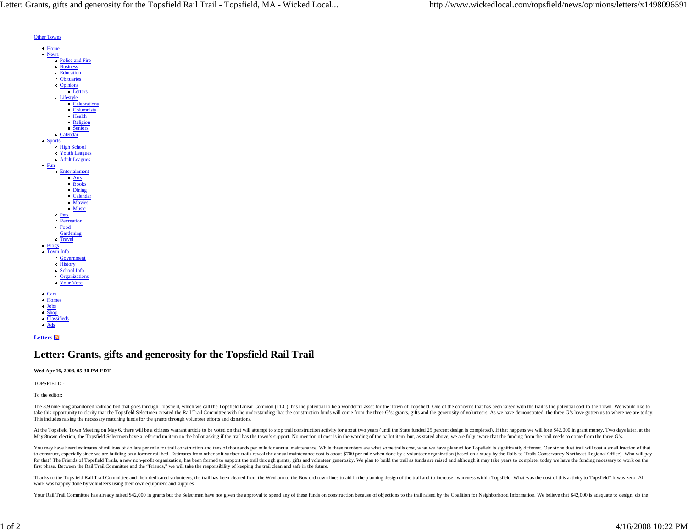Letter: Grants, gifts and generosity for the Topsfield Rail Trail - Topsfield, MA - Wicked Local... http://www.wickedlocal.com/topsfield/news/opinions/letters/x1498096591



## **Letters**

## **Letter: Grants, gifts and generosity for the Topsfield Rail Trail**

## **Wed Apr 16, 2008, 05:30 PM EDT**

TOPSFIELD -

To the editor:

The 3.9 mile-long abandoned railroad bed that goes through Topsfield, which we call the Topsfield Linear Common (TLC), has the potential to be a wonderful asset for the Town of Topsfield. One of the concerns that has been take this opportunity to clarify that the Topsfield Selectmen created the Rail Trail Committee with the understanding that the construction funds will come from the three G's: grants, gifts and the generosity of volunteers This includes raising the necessary matching funds for the grants through volunteer efforts and donations.

At the Topsfield Town Meeting on May 6, there will be a citizens warrant article to be voted on that will attempt to stop trail construction activity for about two years (until the State funded 25 percent design is complet May 8town election, the Topsfield Selectmen have a referendum item on the ballot asking if the trail has the town's support. No mention of cost is in the wording of the ballot item, but, as stated above, we are fully aware

You may have heard estimates of millions of dollars per mile for trail construction and tens of thousands per mile for trail construction and tens of thousands per mile for annual maintenance. While these numbers are what to construct, especially since we are building on a former rail bed. Estimates from other soft surface trails reveal the annual maintenance cost is about \$700 per mile when done by a volunteer organization (based on a stud for that? The Friends of Topsfield Trails, a new non-profit organization, has been formed to support the trail through grants, gifts and volunteer generosity. We plan to build the trail as funds are raised and although it first phase. Between the Rail Trail Committee and the "Friends," we will take the responsibility of keeping the trail clean and safe in the future.

Thanks to the Topsfield Rail Trail Committee and their dedicated volunteers, the trail has been cleared from the Wenham to the Boxford town lines to aid in the planning design of the trail and to increase awareness within work was happily done by volunteers using their own equipment and supplies

Your Rail Trail Committee has already raised \$42,000 in grants but the Selectmen have not given the approval to spend any of these funds on construction because of objections to the trail raised by the Coalition for Neighb